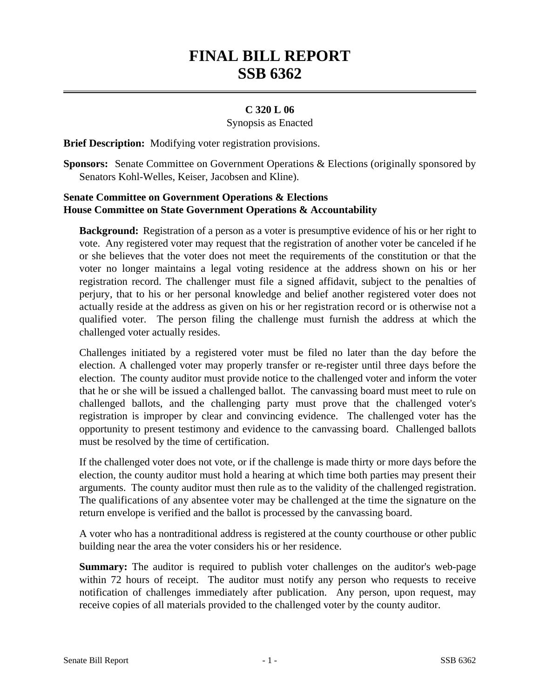## **FINAL BILL REPORT SSB 6362**

## **C 320 L 06**

Synopsis as Enacted

**Brief Description:** Modifying voter registration provisions.

**Sponsors:** Senate Committee on Government Operations & Elections (originally sponsored by Senators Kohl-Welles, Keiser, Jacobsen and Kline).

## **Senate Committee on Government Operations & Elections House Committee on State Government Operations & Accountability**

**Background:** Registration of a person as a voter is presumptive evidence of his or her right to vote. Any registered voter may request that the registration of another voter be canceled if he or she believes that the voter does not meet the requirements of the constitution or that the voter no longer maintains a legal voting residence at the address shown on his or her registration record. The challenger must file a signed affidavit, subject to the penalties of perjury, that to his or her personal knowledge and belief another registered voter does not actually reside at the address as given on his or her registration record or is otherwise not a qualified voter. The person filing the challenge must furnish the address at which the challenged voter actually resides.

Challenges initiated by a registered voter must be filed no later than the day before the election. A challenged voter may properly transfer or re-register until three days before the election. The county auditor must provide notice to the challenged voter and inform the voter that he or she will be issued a challenged ballot. The canvassing board must meet to rule on challenged ballots, and the challenging party must prove that the challenged voter's registration is improper by clear and convincing evidence. The challenged voter has the opportunity to present testimony and evidence to the canvassing board. Challenged ballots must be resolved by the time of certification.

If the challenged voter does not vote, or if the challenge is made thirty or more days before the election, the county auditor must hold a hearing at which time both parties may present their arguments. The county auditor must then rule as to the validity of the challenged registration. The qualifications of any absentee voter may be challenged at the time the signature on the return envelope is verified and the ballot is processed by the canvassing board.

A voter who has a nontraditional address is registered at the county courthouse or other public building near the area the voter considers his or her residence.

**Summary:** The auditor is required to publish voter challenges on the auditor's web-page within 72 hours of receipt. The auditor must notify any person who requests to receive notification of challenges immediately after publication. Any person, upon request, may receive copies of all materials provided to the challenged voter by the county auditor.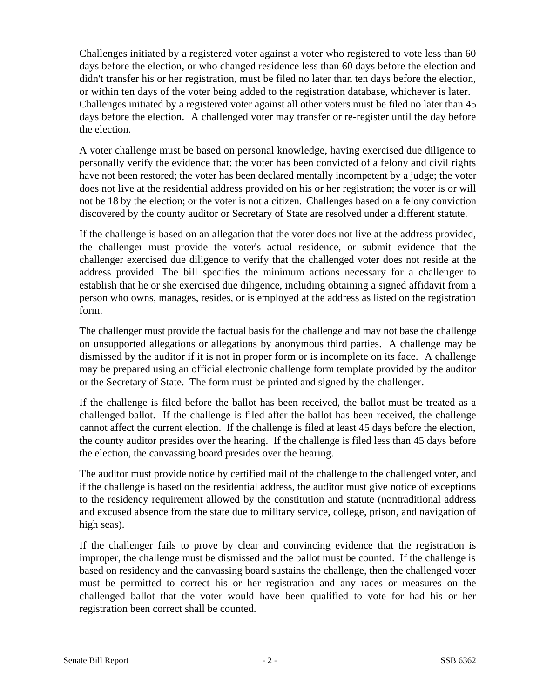Challenges initiated by a registered voter against a voter who registered to vote less than 60 days before the election, or who changed residence less than 60 days before the election and didn't transfer his or her registration, must be filed no later than ten days before the election, or within ten days of the voter being added to the registration database, whichever is later. Challenges initiated by a registered voter against all other voters must be filed no later than 45 days before the election. A challenged voter may transfer or re-register until the day before the election.

A voter challenge must be based on personal knowledge, having exercised due diligence to personally verify the evidence that: the voter has been convicted of a felony and civil rights have not been restored; the voter has been declared mentally incompetent by a judge; the voter does not live at the residential address provided on his or her registration; the voter is or will not be 18 by the election; or the voter is not a citizen. Challenges based on a felony conviction discovered by the county auditor or Secretary of State are resolved under a different statute.

If the challenge is based on an allegation that the voter does not live at the address provided, the challenger must provide the voter's actual residence, or submit evidence that the challenger exercised due diligence to verify that the challenged voter does not reside at the address provided. The bill specifies the minimum actions necessary for a challenger to establish that he or she exercised due diligence, including obtaining a signed affidavit from a person who owns, manages, resides, or is employed at the address as listed on the registration form.

The challenger must provide the factual basis for the challenge and may not base the challenge on unsupported allegations or allegations by anonymous third parties. A challenge may be dismissed by the auditor if it is not in proper form or is incomplete on its face. A challenge may be prepared using an official electronic challenge form template provided by the auditor or the Secretary of State. The form must be printed and signed by the challenger.

If the challenge is filed before the ballot has been received, the ballot must be treated as a challenged ballot. If the challenge is filed after the ballot has been received, the challenge cannot affect the current election. If the challenge is filed at least 45 days before the election, the county auditor presides over the hearing. If the challenge is filed less than 45 days before the election, the canvassing board presides over the hearing.

The auditor must provide notice by certified mail of the challenge to the challenged voter, and if the challenge is based on the residential address, the auditor must give notice of exceptions to the residency requirement allowed by the constitution and statute (nontraditional address and excused absence from the state due to military service, college, prison, and navigation of high seas).

If the challenger fails to prove by clear and convincing evidence that the registration is improper, the challenge must be dismissed and the ballot must be counted. If the challenge is based on residency and the canvassing board sustains the challenge, then the challenged voter must be permitted to correct his or her registration and any races or measures on the challenged ballot that the voter would have been qualified to vote for had his or her registration been correct shall be counted.